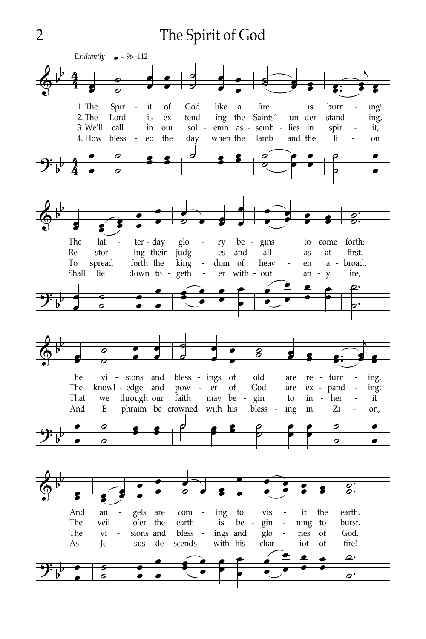## The Spirit of God